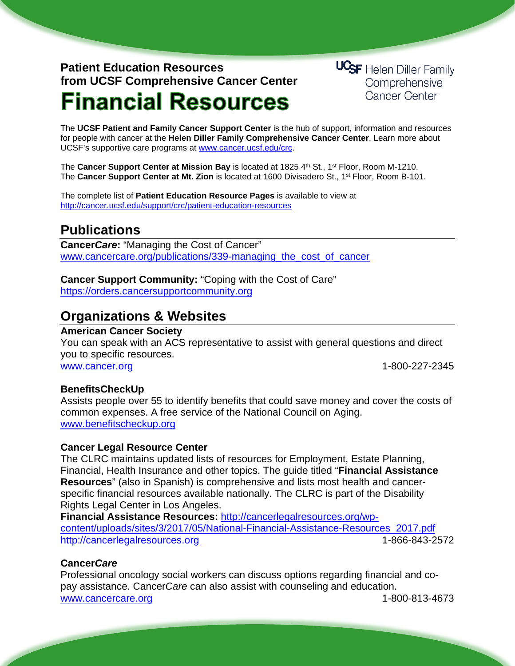# **Patient Education Resources from UCSF Comprehensive Cancer Center Financial Resources**

**UCSF** Helen Diller Family Comprehensive **Cancer Center** 

The **UCSF Patient and Family Cancer Support Center** is the hub of support, information and resources for people with cancer at the **Helen Diller Family Comprehensive Cancer Center**. Learn more about UCSF's supportive care programs at [www.cancer.ucsf.edu/crc.](http://www.cancer.ucsf.edu/crc)

The **Cancer Support Center at Mission Bay** is located at 1825 4th St., 1<sup>st</sup> Floor, Room M-1210. The **Cancer Support Center at Mt. Zion** is located at 1600 Divisadero St., 1st Floor, Room B-101.

The complete list of **Patient Education Resource Pages** is available to view at <http://cancer.ucsf.edu/support/crc/patient-education-resources>

# **Publications**

**Cancer***Care***:** "Managing the Cost of Cancer" www.cancercare.org/publications/339-managing the cost of cancer

**Cancer Support Community:** "Coping with the Cost of Care"

[https://orders.cancersupportcommunity.org](https://orders.cancersupportcommunity.org/)

## **Organizations & Websites**

#### **American Cancer Society**

You can speak with an ACS representative to assist with general questions and direct you to specific resources.

[www.cancer.org](http://www.cancer.org/) 1-800-227-2345

#### **BenefitsCheckUp**

Assists people over 55 to identify benefits that could save money and cover the costs of common expenses. A free service of the National Council on Aging. [www.benefitscheckup.org](http://www.benefitscheckup.org/)

#### **Cancer Legal Resource Center**

The CLRC maintains updated lists of resources for Employment, Estate Planning, Financial, Health Insurance and other topics. The guide titled "**Financial Assistance Resources**" (also in Spanish) is comprehensive and lists most health and cancerspecific financial resources available nationally. The CLRC is part of the Disability Rights Legal Center in Los Angeles.

**Financial Assistance Resources:** [http://cancerlegalresources.org/wp](http://cancerlegalresources.org/wp-content/uploads/sites/3/2017/05/National-Financial-Assistance-Resources_2017.pdf)[content/uploads/sites/3/2017/05/National-Financial-Assistance-Resources\\_2017.pdf](http://cancerlegalresources.org/wp-content/uploads/sites/3/2017/05/National-Financial-Assistance-Resources_2017.pdf) [http://cancerlegalresources.org](http://cancerlegalresources.org/) 1-866-843-2572

#### **Cancer***Care*

Professional oncology social workers can discuss options regarding financial and copay assistance. Cancer*Care* can also assist with counseling and education. [www.cancercare.org](http://www.cancercare.org/) 1-800‑813‑4673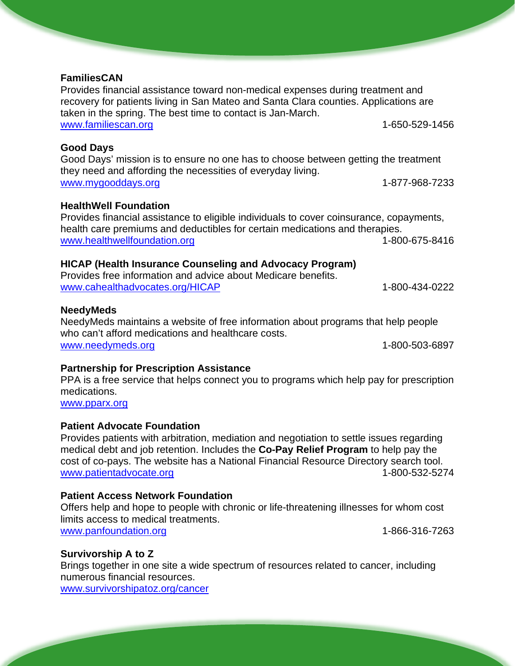Provides financial assistance toward non-medical expenses during treatment and recovery for patients living in San Mateo and Santa Clara counties. Applications are taken in the spring. The best time to contact is Jan-March. [www.familiescan.org](http://www.familiescan.org/) 1-650-529-1456

#### **Good Days**

**FamiliesCAN**

Good Days' mission is to ensure no one has to choose between getting the treatment they need and affording the necessities of everyday living. [www.mygooddays.org](http://www.mygooddays.org/) 1-877-968-7233

#### **HealthWell Foundation**

Provides financial assistance to eligible individuals to cover coinsurance, copayments, health care premiums and deductibles for certain medications and therapies. [www.healthwellfoundation.org](http://www.healthwellfoundation.org/) 1-800-675-8416

#### **HICAP (Health Insurance Counseling and Advocacy Program)**

| Provides free information and advice about Medicare benefits. |                |
|---------------------------------------------------------------|----------------|
| www.cahealthadvocates.org/HICAP                               | 1-800-434-0222 |

#### **NeedyMeds**

NeedyMeds maintains a website of free information about programs that help people who can't afford medications and healthcare costs. [www.needymeds.org](http://www.needymeds.org/) 1-800-503-6897

#### **Partnership for Prescription Assistance**

PPA is a free service that helps connect you to programs which help pay for prescription medications.

[www.pparx.org](http://www.pparx.org/)

#### **Patient Advocate Foundation**

Provides patients with arbitration, mediation and negotiation to settle issues regarding medical debt and job retention. Includes the **Co-Pay Relief Program** to help pay the cost of co-pays. The website has a National Financial Resource Directory search tool. [www.patientadvocate.org](http://www.patientadvocate.org/) 1-800-532-5274

#### **Patient Access Network Foundation**

Offers help and hope to people with chronic or life-threatening illnesses for whom cost limits access to medical treatments. [www.panfoundation.org](http://www.panfoundation.org/) 1-866-316-7263

### **Survivorship A to Z**

Brings together in one site a wide spectrum of resources related to cancer, including numerous financial resources. [www.survivorshipatoz.org/cancer](http://www.survivorshipatoz.org/cancer)